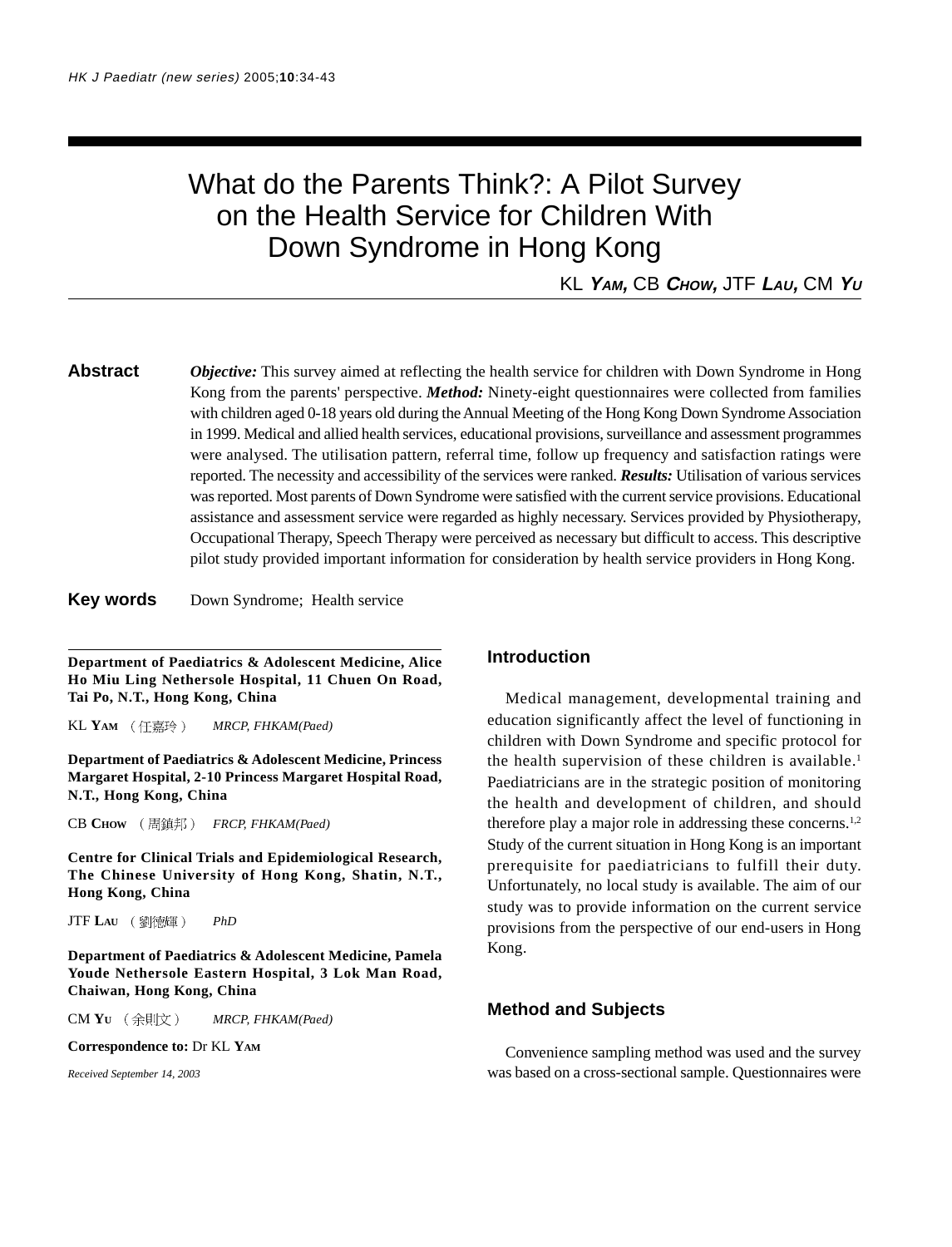# What do the Parents Think?: A Pilot Survey on the Health Service for Children With Down Syndrome in Hong Kong

KL **YAM,** CB **CHOW,** JTF **LAU,** CM **Y<sup>U</sup>**

**Abstract** *Objective:* This survey aimed at reflecting the health service for children with Down Syndrome in Hong Kong from the parents' perspective. *Method:* Ninety-eight questionnaires were collected from families with children aged 0-18 years old during the Annual Meeting of the Hong Kong Down Syndrome Association in 1999. Medical and allied health services, educational provisions, surveillance and assessment programmes were analysed. The utilisation pattern, referral time, follow up frequency and satisfaction ratings were reported. The necessity and accessibility of the services were ranked. *Results:* Utilisation of various services was reported. Most parents of Down Syndrome were satisfied with the current service provisions. Educational assistance and assessment service were regarded as highly necessary. Services provided by Physiotherapy, Occupational Therapy, Speech Therapy were perceived as necessary but difficult to access. This descriptive pilot study provided important information for consideration by health service providers in Hong Kong.

**Key words** Down Syndrome; Health service

**Department of Paediatrics & Adolescent Medicine, Alice Ho Miu Ling Nethersole Hospital, 11 Chuen On Road, Tai Po, N.T., Hong Kong, China**

KL YAM (任嘉玲) MRCP, FHKAM(Paed)

**Department of Paediatrics & Adolescent Medicine, Princess Margaret Hospital, 2-10 Princess Margaret Hospital Road, N.T., Hong Kong, China**

CB **CHOW** *FRCP, FHKAM(Paed)*

**Centre for Clinical Trials and Epidemiological Research, The Chinese University of Hong Kong, Shatin, N.T., Hong Kong, China**

JTF **LAU** *PhD*

**Department of Paediatrics & Adolescent Medicine, Pamela Youde Nethersole Eastern Hospital, 3 Lok Man Road, Chaiwan, Hong Kong, China**

CM **YU** *MRCP, FHKAM(Paed)*

**Correspondence to:** Dr KL **YAM**

*Received September 14, 2003*

#### **Introduction**

Medical management, developmental training and education significantly affect the level of functioning in children with Down Syndrome and specific protocol for the health supervision of these children is available.<sup>1</sup> Paediatricians are in the strategic position of monitoring the health and development of children, and should therefore play a major role in addressing these concerns.<sup>1,2</sup> Study of the current situation in Hong Kong is an important prerequisite for paediatricians to fulfill their duty. Unfortunately, no local study is available. The aim of our study was to provide information on the current service provisions from the perspective of our end-users in Hong Kong.

#### **Method and Subjects**

Convenience sampling method was used and the survey was based on a cross-sectional sample. Questionnaires were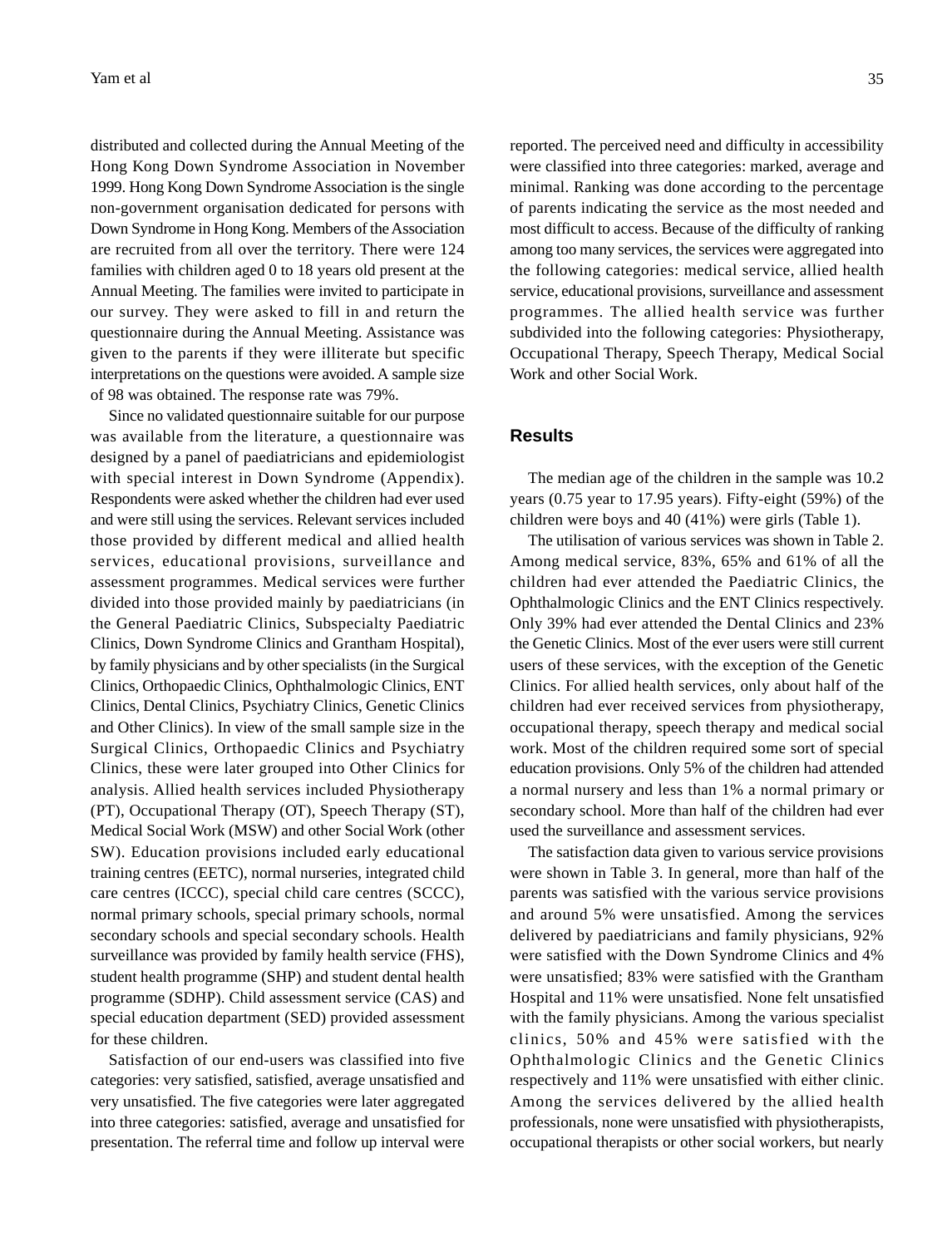distributed and collected during the Annual Meeting of the Hong Kong Down Syndrome Association in November 1999. Hong Kong Down Syndrome Association is the single non-government organisation dedicated for persons with Down Syndrome in Hong Kong. Members of the Association are recruited from all over the territory. There were 124 families with children aged 0 to 18 years old present at the Annual Meeting. The families were invited to participate in our survey. They were asked to fill in and return the questionnaire during the Annual Meeting. Assistance was given to the parents if they were illiterate but specific interpretations on the questions were avoided. A sample size of 98 was obtained. The response rate was 79%.

Since no validated questionnaire suitable for our purpose was available from the literature, a questionnaire was designed by a panel of paediatricians and epidemiologist with special interest in Down Syndrome (Appendix). Respondents were asked whether the children had ever used and were still using the services. Relevant services included those provided by different medical and allied health services, educational provisions, surveillance and assessment programmes. Medical services were further divided into those provided mainly by paediatricians (in the General Paediatric Clinics, Subspecialty Paediatric Clinics, Down Syndrome Clinics and Grantham Hospital), by family physicians and by other specialists (in the Surgical Clinics, Orthopaedic Clinics, Ophthalmologic Clinics, ENT Clinics, Dental Clinics, Psychiatry Clinics, Genetic Clinics and Other Clinics). In view of the small sample size in the Surgical Clinics, Orthopaedic Clinics and Psychiatry Clinics, these were later grouped into Other Clinics for analysis. Allied health services included Physiotherapy (PT), Occupational Therapy (OT), Speech Therapy (ST), Medical Social Work (MSW) and other Social Work (other SW). Education provisions included early educational training centres (EETC), normal nurseries, integrated child care centres (ICCC), special child care centres (SCCC), normal primary schools, special primary schools, normal secondary schools and special secondary schools. Health surveillance was provided by family health service (FHS), student health programme (SHP) and student dental health programme (SDHP). Child assessment service (CAS) and special education department (SED) provided assessment for these children.

Satisfaction of our end-users was classified into five categories: very satisfied, satisfied, average unsatisfied and very unsatisfied. The five categories were later aggregated into three categories: satisfied, average and unsatisfied for presentation. The referral time and follow up interval were reported. The perceived need and difficulty in accessibility were classified into three categories: marked, average and minimal. Ranking was done according to the percentage of parents indicating the service as the most needed and most difficult to access. Because of the difficulty of ranking among too many services, the services were aggregated into the following categories: medical service, allied health service, educational provisions, surveillance and assessment programmes. The allied health service was further subdivided into the following categories: Physiotherapy, Occupational Therapy, Speech Therapy, Medical Social Work and other Social Work.

#### **Results**

The median age of the children in the sample was 10.2 years (0.75 year to 17.95 years). Fifty-eight (59%) of the children were boys and 40 (41%) were girls (Table 1).

The utilisation of various services was shown in Table 2. Among medical service, 83%, 65% and 61% of all the children had ever attended the Paediatric Clinics, the Ophthalmologic Clinics and the ENT Clinics respectively. Only 39% had ever attended the Dental Clinics and 23% the Genetic Clinics. Most of the ever users were still current users of these services, with the exception of the Genetic Clinics. For allied health services, only about half of the children had ever received services from physiotherapy, occupational therapy, speech therapy and medical social work. Most of the children required some sort of special education provisions. Only 5% of the children had attended a normal nursery and less than 1% a normal primary or secondary school. More than half of the children had ever used the surveillance and assessment services.

The satisfaction data given to various service provisions were shown in Table 3. In general, more than half of the parents was satisfied with the various service provisions and around 5% were unsatisfied. Among the services delivered by paediatricians and family physicians, 92% were satisfied with the Down Syndrome Clinics and 4% were unsatisfied; 83% were satisfied with the Grantham Hospital and 11% were unsatisfied. None felt unsatisfied with the family physicians. Among the various specialist clinics, 50% and 45% were satisfied with the Ophthalmologic Clinics and the Genetic Clinics respectively and 11% were unsatisfied with either clinic. Among the services delivered by the allied health professionals, none were unsatisfied with physiotherapists, occupational therapists or other social workers, but nearly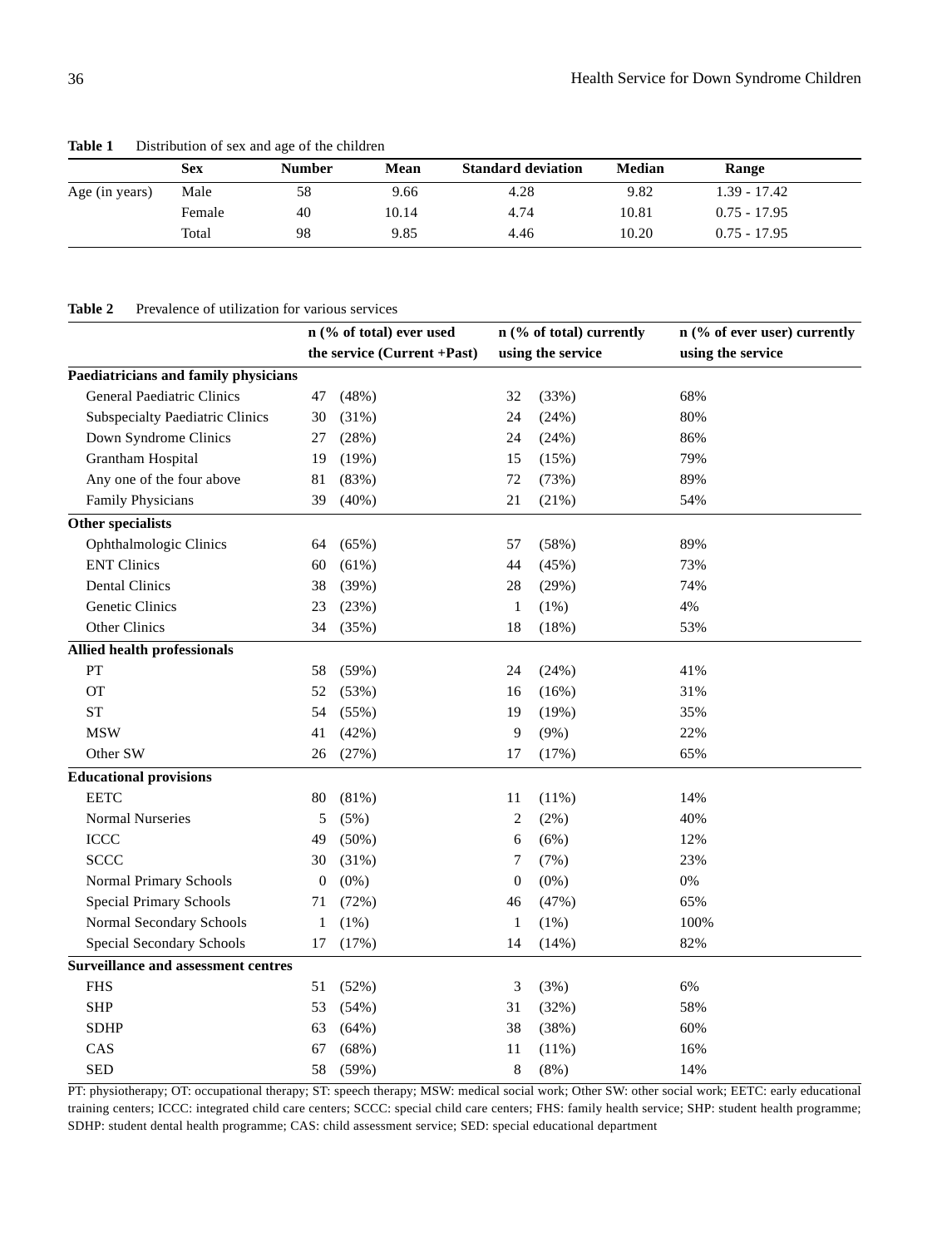|                | Sex    | <b>Number</b> | Mean  | <b>Standard deviation</b> | Median | Range          |  |
|----------------|--------|---------------|-------|---------------------------|--------|----------------|--|
| Age (in years) | Male   | 58            | 9.66  | 4.28                      | 9.82   | $1.39 - 17.42$ |  |
|                | Female | 40            | 10.14 | 4.74                      | 10.81  | $0.75 - 17.95$ |  |
|                | Total  | 98            | 9.85  | 4.46                      | 10.20  | $0.75 - 17.95$ |  |

**Table 1** Distribution of sex and age of the children

#### Table 2 Prevalence of utilization for various services

|                                            |                  | n (% of total) ever used    |                  | n (% of total) currently | n (% of ever user) currently |  |  |
|--------------------------------------------|------------------|-----------------------------|------------------|--------------------------|------------------------------|--|--|
|                                            |                  | the service (Current +Past) |                  | using the service        | using the service            |  |  |
| Paediatricians and family physicians       |                  |                             |                  |                          |                              |  |  |
| General Paediatric Clinics                 | 47               | (48%)                       | 32               | (33%)                    | 68%                          |  |  |
| <b>Subspecialty Paediatric Clinics</b>     | 30               | (31%)                       | 24               | (24%)                    | 80%                          |  |  |
| Down Syndrome Clinics                      | 27               | (28%)                       | 24               | (24%)                    | 86%                          |  |  |
| Grantham Hospital                          | 19               | (19%)                       | 15               | (15%)                    | 79%                          |  |  |
| Any one of the four above                  | 81               | (83%)                       | 72               | (73%)                    | 89%                          |  |  |
| Family Physicians                          | 39               | $(40\%)$                    | 21               | (21%)                    | 54%                          |  |  |
| Other specialists                          |                  |                             |                  |                          |                              |  |  |
| Ophthalmologic Clinics                     | 64               | (65%)                       | 57               | (58%)                    | 89%                          |  |  |
| <b>ENT Clinics</b>                         | 60               | (61%)                       | 44               | (45%)                    | 73%                          |  |  |
| <b>Dental Clinics</b>                      | 38               | (39%)                       | 28               | (29%)                    | 74%                          |  |  |
| Genetic Clinics                            | 23               | (23%)                       | $\mathbf{1}$     | $(1\%)$                  | 4%                           |  |  |
| Other Clinics                              | 34               | (35%)                       | 18               | (18%)                    | 53%                          |  |  |
| Allied health professionals                |                  |                             |                  |                          |                              |  |  |
| PT                                         | 58               | (59%)                       | 24               | (24%)                    | 41%                          |  |  |
| <b>OT</b>                                  | 52               | (53%)                       | 16               | (16%)                    | 31%                          |  |  |
| <b>ST</b>                                  | 54               | (55%)                       | 19               | (19%)                    | 35%                          |  |  |
| <b>MSW</b>                                 | 41               | (42%)                       | 9                | $(9\%)$                  | 22%                          |  |  |
| Other SW                                   | 26               | (27%)                       | 17               | (17%)                    | 65%                          |  |  |
| <b>Educational provisions</b>              |                  |                             |                  |                          |                              |  |  |
| <b>EETC</b>                                | 80               | (81%)                       | 11               | (11%)                    | 14%                          |  |  |
| <b>Normal Nurseries</b>                    | 5                | (5%)                        | $\overline{c}$   | $(2\%)$                  | 40%                          |  |  |
| ICCC                                       | 49               | (50%)                       | 6                | (6%)                     | 12%                          |  |  |
| <b>SCCC</b>                                | 30               | (31%)                       | 7                | (7%)                     | 23%                          |  |  |
| Normal Primary Schools                     | $\boldsymbol{0}$ | $(0\%)$                     | $\boldsymbol{0}$ | $(0\%)$                  | $0\%$                        |  |  |
| Special Primary Schools                    | 71               | (72%)                       | 46               | (47%)                    | 65%                          |  |  |
| Normal Secondary Schools                   | 1                | $(1\%)$                     | $\mathbf{1}$     | $(1\%)$                  | 100%                         |  |  |
| Special Secondary Schools                  | 17               | (17%)                       | 14               | (14%)                    | 82%                          |  |  |
| <b>Surveillance and assessment centres</b> |                  |                             |                  |                          |                              |  |  |
| <b>FHS</b>                                 | 51               | (52%)                       | 3                | (3%)                     | 6%                           |  |  |
| <b>SHP</b>                                 | 53               | (54%)                       | 31               | (32%)                    | 58%                          |  |  |
| <b>SDHP</b>                                | 63               | (64%)                       | 38               | (38%)                    | 60%                          |  |  |
| CAS                                        | 67               | (68%)                       | 11               | (11%)                    | 16%                          |  |  |
| <b>SED</b>                                 | 58               | (59%)                       | 8                | $(8\%)$                  | 14%                          |  |  |

PT: physiotherapy; OT: occupational therapy; ST: speech therapy; MSW: medical social work; Other SW: other social work; EETC: early educational training centers; ICCC: integrated child care centers; SCCC: special child care centers; FHS: family health service; SHP: student health programme; SDHP: student dental health programme; CAS: child assessment service; SED: special educational department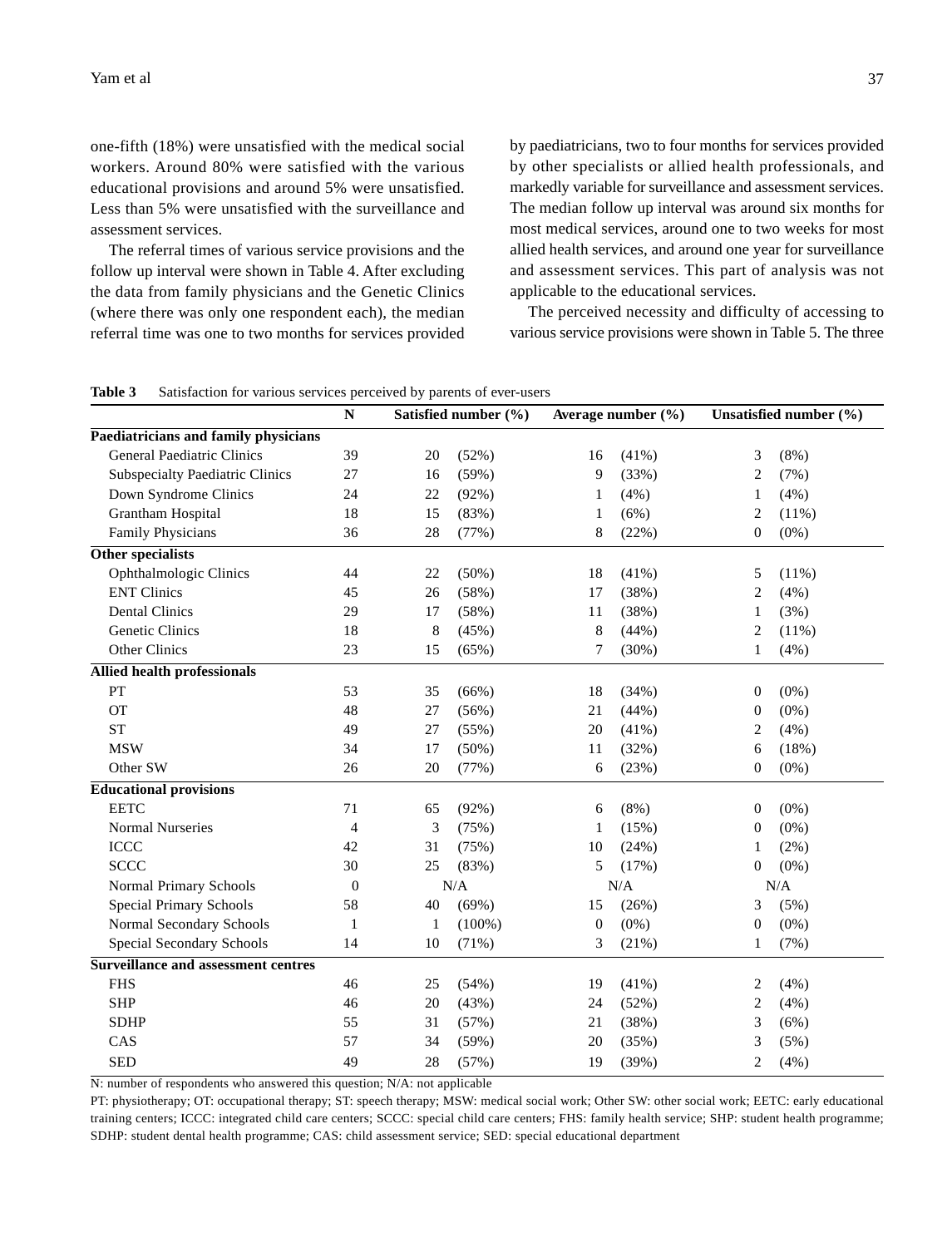one-fifth (18%) were unsatisfied with the medical social workers. Around 80% were satisfied with the various educational provisions and around 5% were unsatisfied. Less than 5% were unsatisfied with the surveillance and assessment services.

The referral times of various service provisions and the follow up interval were shown in Table 4. After excluding the data from family physicians and the Genetic Clinics (where there was only one respondent each), the median referral time was one to two months for services provided

by paediatricians, two to four months for services provided by other specialists or allied health professionals, and markedly variable for surveillance and assessment services. The median follow up interval was around six months for most medical services, around one to two weeks for most allied health services, and around one year for surveillance and assessment services. This part of analysis was not applicable to the educational services.

The perceived necessity and difficulty of accessing to various service provisions were shown in Table 5. The three

| Table 3 | Satisfaction for various services perceived by parents of ever-users |  |  |  |  |
|---------|----------------------------------------------------------------------|--|--|--|--|

|                                            | $\mathbf N$  |    | Satisfied number (%) | Average number (%) |          | Unsatisfied number (%) |          |
|--------------------------------------------|--------------|----|----------------------|--------------------|----------|------------------------|----------|
| Paediatricians and family physicians       |              |    |                      |                    |          |                        |          |
| General Paediatric Clinics                 | 39           | 20 | (52%)                | 16                 | $(41\%)$ | 3                      | $(8\%)$  |
| <b>Subspecialty Paediatric Clinics</b>     | 27           | 16 | (59%)                | 9                  | (33%)    | $\overline{c}$         | (7%)     |
| Down Syndrome Clinics                      | 24           | 22 | (92%)                | 1                  | (4%)     | 1                      | (4%)     |
| Grantham Hospital                          | 18           | 15 | (83%)                | 1                  | (6%)     | 2                      | $(11\%)$ |
| Family Physicians                          | 36           | 28 | (77%)                | 8                  | (22%)    | $\boldsymbol{0}$       | $(0\%)$  |
| Other specialists                          |              |    |                      |                    |          |                        |          |
| Ophthalmologic Clinics                     | 44           | 22 | $(50\%)$             | 18                 | $(41\%)$ | 5                      | $(11\%)$ |
| <b>ENT Clinics</b>                         | 45           | 26 | (58%)                | 17                 | (38%)    | 2                      | (4%)     |
| <b>Dental Clinics</b>                      | 29           | 17 | (58%)                | 11                 | (38%)    | 1                      | (3%)     |
| Genetic Clinics                            | 18           | 8  | (45%)                | 8                  | (44%)    | 2                      | (11%)    |
| Other Clinics                              | 23           | 15 | (65%)                | 7                  | (30%)    | 1                      | (4%)     |
| Allied health professionals                |              |    |                      |                    |          |                        |          |
| PT                                         | 53           | 35 | $(66\%)$             | 18                 | (34%)    | $\mathbf{0}$           | $(0\%)$  |
| <b>OT</b>                                  | 48           | 27 | (56%)                | 21                 | (44%)    | $\boldsymbol{0}$       | $(0\%)$  |
| <b>ST</b>                                  | 49           | 27 | (55%)                | 20                 | (41%)    | 2                      | (4%)     |
| <b>MSW</b>                                 | 34           | 17 | (50%)                | 11                 | (32%)    | 6                      | (18%)    |
| Other SW                                   | 26           | 20 | (77%)                | 6                  | (23%)    | $\boldsymbol{0}$       | $(0\%)$  |
| <b>Educational provisions</b>              |              |    |                      |                    |          |                        |          |
| <b>EETC</b>                                | 71           | 65 | (92%)                | 6                  | $(8\%)$  | $\boldsymbol{0}$       | $(0\%)$  |
| <b>Normal Nurseries</b>                    | 4            | 3  | (75%)                | 1                  | (15%)    | $\mathbf{0}$           | $(0\%)$  |
| <b>ICCC</b>                                | 42           | 31 | (75%)                | 10                 | (24%)    | 1                      | $(2\%)$  |
| <b>SCCC</b>                                | 30           | 25 | (83%)                | 5                  | (17%)    | $\mathbf{0}$           | $(0\%)$  |
| Normal Primary Schools                     | $\mathbf{0}$ |    | N/A                  |                    | N/A      |                        | N/A      |
| <b>Special Primary Schools</b>             | 58           | 40 | (69%)                | 15                 | (26%)    | 3                      | (5%)     |
| Normal Secondary Schools                   | 1            | 1  | $(100\%)$            | $\boldsymbol{0}$   | $(0\%)$  | $\boldsymbol{0}$       | $(0\%)$  |
| Special Secondary Schools                  | 14           | 10 | (71%)                | 3                  | (21%)    | 1                      | (7%)     |
| <b>Surveillance and assessment centres</b> |              |    |                      |                    |          |                        |          |
| <b>FHS</b>                                 | 46           | 25 | (54%)                | 19                 | (41%)    | 2                      | (4%)     |
| <b>SHP</b>                                 | 46           | 20 | (43%)                | 24                 | (52%)    | 2                      | (4%)     |
| <b>SDHP</b>                                | 55           | 31 | (57%)                | 21                 | (38%)    | 3                      | (6%)     |
| CAS                                        | 57           | 34 | (59%)                | 20                 | (35%)    | 3                      | (5%)     |
| <b>SED</b>                                 | 49           | 28 | (57%)                | 19                 | (39%)    | 2                      | (4%)     |

N: number of respondents who answered this question; N/A: not applicable

PT: physiotherapy; OT: occupational therapy; ST: speech therapy; MSW: medical social work; Other SW: other social work; EETC: early educational training centers; ICCC: integrated child care centers; SCCC: special child care centers; FHS: family health service; SHP: student health programme; SDHP: student dental health programme; CAS: child assessment service; SED: special educational department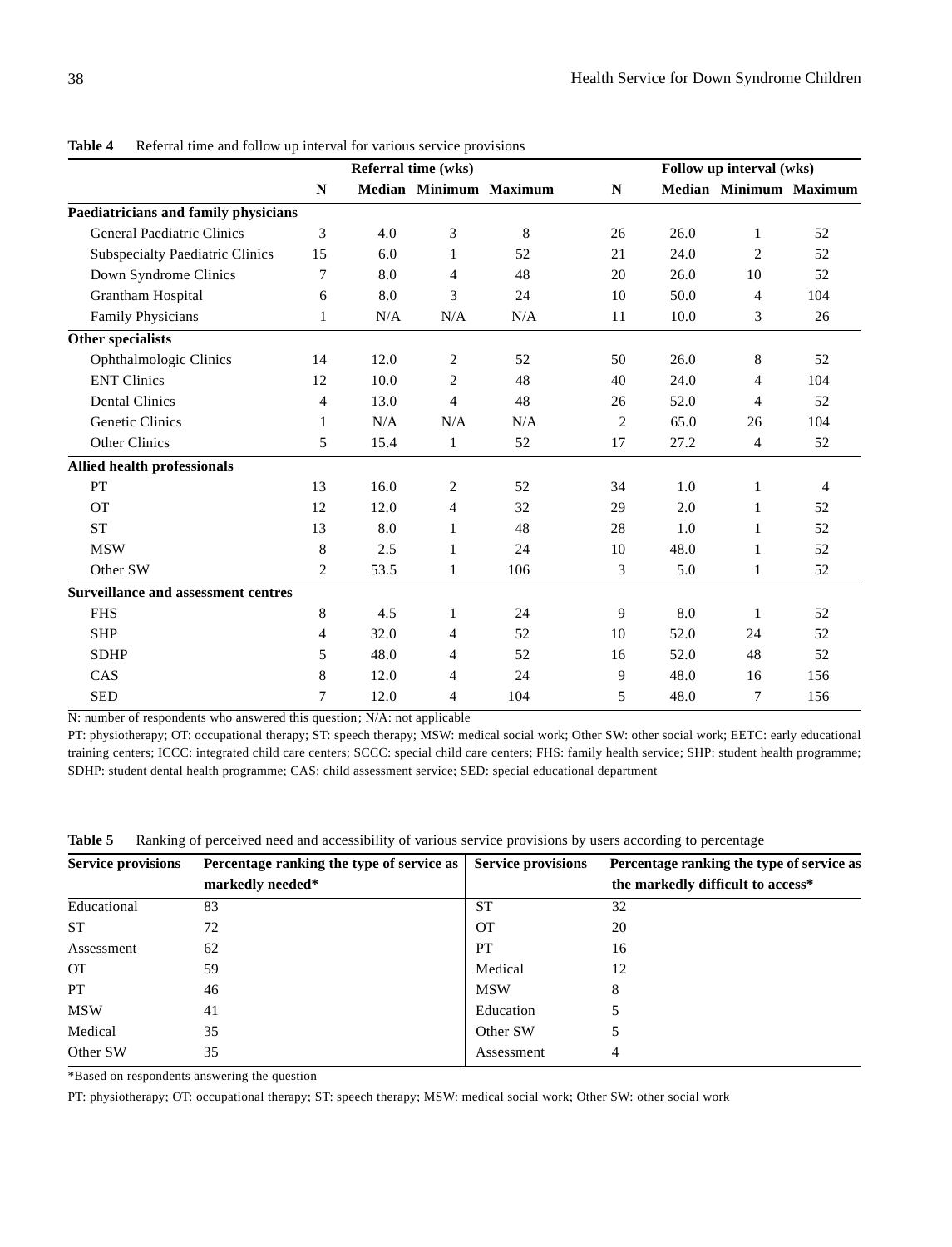|                                            |                |      | Referral time (wks) |                        |              | Follow up interval (wks) |                |                        |  |  |
|--------------------------------------------|----------------|------|---------------------|------------------------|--------------|--------------------------|----------------|------------------------|--|--|
|                                            | N              |      |                     | Median Minimum Maximum | $\mathbb{N}$ |                          |                | Median Minimum Maximum |  |  |
| Paediatricians and family physicians       |                |      |                     |                        |              |                          |                |                        |  |  |
| <b>General Paediatric Clinics</b>          | 3              | 4.0  | $\mathfrak{Z}$      | 8                      | 26           | 26.0                     | 1              | 52                     |  |  |
| <b>Subspecialty Paediatric Clinics</b>     | 15             | 6.0  | $\mathbf{1}$        | 52                     | 21           | 24.0                     | 2              | 52                     |  |  |
| Down Syndrome Clinics                      | 7              | 8.0  | $\overline{4}$      | 48                     | 20           | 26.0                     | 10             | 52                     |  |  |
| Grantham Hospital                          | 6              | 8.0  | 3                   | 24                     | 10           | 50.0                     | $\overline{4}$ | 104                    |  |  |
| Family Physicians                          | 1              | N/A  | N/A                 | N/A                    | 11           | 10.0                     | 3              | 26                     |  |  |
| Other specialists                          |                |      |                     |                        |              |                          |                |                        |  |  |
| Ophthalmologic Clinics                     | 14             | 12.0 | $\boldsymbol{2}$    | 52                     | 50           | 26.0                     | 8              | 52                     |  |  |
| <b>ENT Clinics</b>                         | 12             | 10.0 | 2                   | 48                     | 40           | 24.0                     | 4              | 104                    |  |  |
| <b>Dental Clinics</b>                      | 4              | 13.0 | $\overline{4}$      | 48                     | 26           | 52.0                     | $\overline{4}$ | 52                     |  |  |
| <b>Genetic Clinics</b>                     | 1              | N/A  | N/A                 | N/A                    | 2            | 65.0                     | 26             | 104                    |  |  |
| <b>Other Clinics</b>                       | 5              | 15.4 | $\mathbf{1}$        | 52                     | 17           | 27.2                     | $\overline{4}$ | 52                     |  |  |
| Allied health professionals                |                |      |                     |                        |              |                          |                |                        |  |  |
| PT                                         | 13             | 16.0 | $\overline{c}$      | 52                     | 34           | 1.0                      | 1              | $\overline{4}$         |  |  |
| <b>OT</b>                                  | 12             | 12.0 | 4                   | 32                     | 29           | 2.0                      | 1              | 52                     |  |  |
| <b>ST</b>                                  | 13             | 8.0  | $\mathbf{1}$        | 48                     | 28           | 1.0                      | 1              | 52                     |  |  |
| <b>MSW</b>                                 | 8              | 2.5  | 1                   | 24                     | 10           | 48.0                     | 1              | 52                     |  |  |
| Other SW                                   | $\overline{c}$ | 53.5 | $\mathbf{1}$        | 106                    | 3            | 5.0                      | 1              | 52                     |  |  |
| <b>Surveillance and assessment centres</b> |                |      |                     |                        |              |                          |                |                        |  |  |
| <b>FHS</b>                                 | 8              | 4.5  | $\mathbf{1}$        | 24                     | 9            | 8.0                      | $\mathbf{1}$   | 52                     |  |  |
| <b>SHP</b>                                 | 4              | 32.0 | 4                   | 52                     | 10           | 52.0                     | 24             | 52                     |  |  |
| <b>SDHP</b>                                | 5              | 48.0 | 4                   | 52                     | 16           | 52.0                     | 48             | 52                     |  |  |
| CAS                                        | 8              | 12.0 | 4                   | 24                     | 9            | 48.0                     | 16             | 156                    |  |  |
| <b>SED</b>                                 | 7              | 12.0 | 4                   | 104                    | 5            | 48.0                     | 7              | 156                    |  |  |

**Table 4** Referral time and follow up interval for various service provisions

N: number of respondents who answered this question; N/A: not applicable

PT: physiotherapy; OT: occupational therapy; ST: speech therapy; MSW: medical social work; Other SW: other social work; EETC: early educational training centers; ICCC: integrated child care centers; SCCC: special child care centers; FHS: family health service; SHP: student health programme; SDHP: student dental health programme; CAS: child assessment service; SED: special educational department

| <b>Service provisions</b> | Percentage ranking the type of service as | <b>Service provisions</b> | Percentage ranking the type of service as |
|---------------------------|-------------------------------------------|---------------------------|-------------------------------------------|
|                           | markedly needed*                          |                           | the markedly difficult to access*         |
| Educational               | 83                                        | <b>ST</b>                 | 32                                        |
| <b>ST</b>                 | 72                                        | <b>OT</b>                 | 20                                        |
| Assessment                | 62                                        | PT                        | 16                                        |
| <b>OT</b>                 | 59                                        | Medical                   | 12                                        |
| <b>PT</b>                 | 46                                        | <b>MSW</b>                | 8                                         |
| <b>MSW</b>                | 41                                        | Education                 |                                           |
| Medical                   | 35                                        | Other SW                  |                                           |
| Other SW                  | 35                                        | Assessment                | 4                                         |

**Table 5** Ranking of perceived need and accessibility of various service provisions by users according to percentage

\*Based on respondents answering the question

PT: physiotherapy; OT: occupational therapy; ST: speech therapy; MSW: medical social work; Other SW: other social work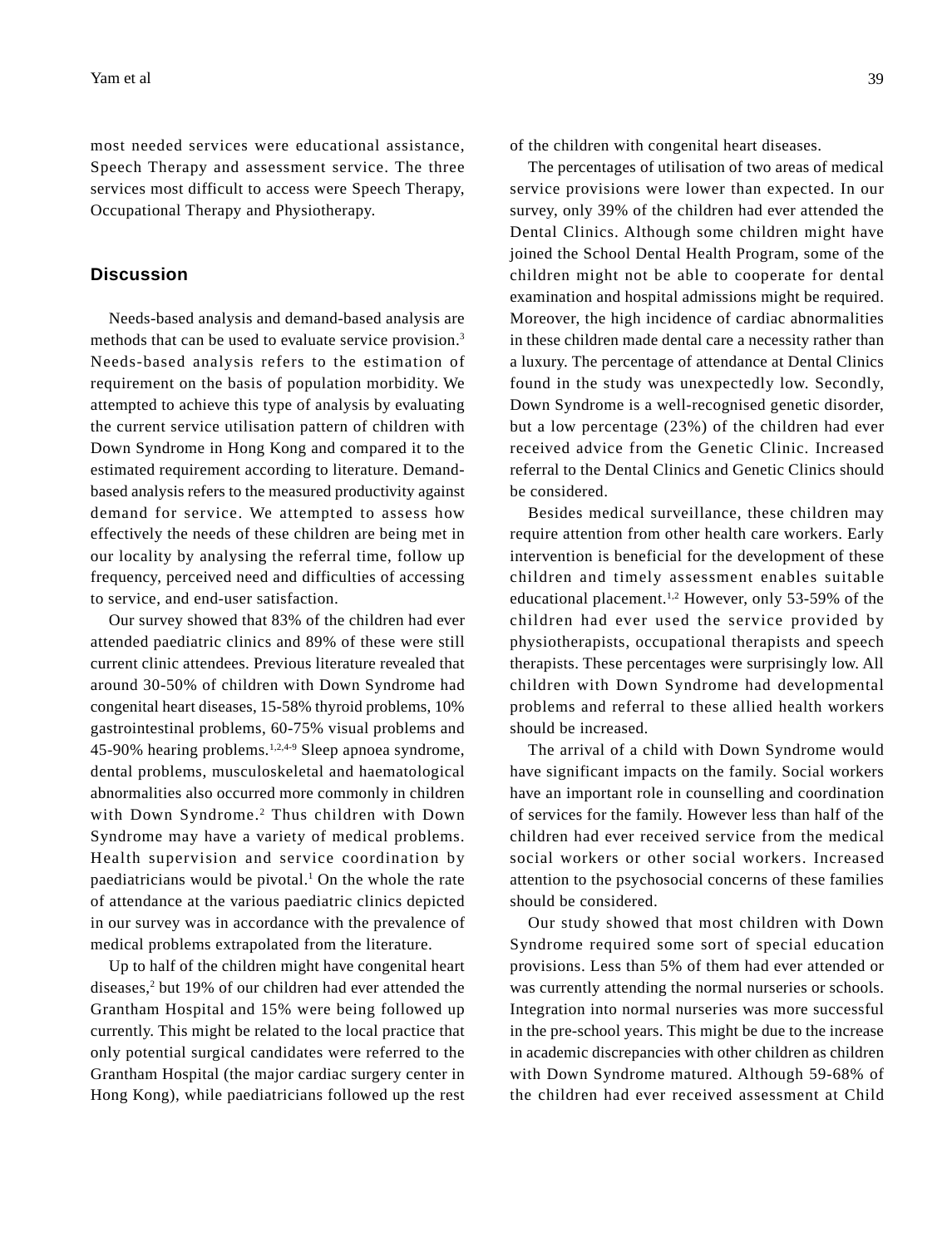most needed services were educational assistance, Speech Therapy and assessment service. The three services most difficult to access were Speech Therapy, Occupational Therapy and Physiotherapy.

### **Discussion**

Needs-based analysis and demand-based analysis are methods that can be used to evaluate service provision.<sup>3</sup> Needs-based analysis refers to the estimation of requirement on the basis of population morbidity. We attempted to achieve this type of analysis by evaluating the current service utilisation pattern of children with Down Syndrome in Hong Kong and compared it to the estimated requirement according to literature. Demandbased analysis refers to the measured productivity against demand for service. We attempted to assess how effectively the needs of these children are being met in our locality by analysing the referral time, follow up frequency, perceived need and difficulties of accessing to service, and end-user satisfaction.

Our survey showed that 83% of the children had ever attended paediatric clinics and 89% of these were still current clinic attendees. Previous literature revealed that around 30-50% of children with Down Syndrome had congenital heart diseases, 15-58% thyroid problems, 10% gastrointestinal problems, 60-75% visual problems and 45-90% hearing problems.1,2,4-9 Sleep apnoea syndrome, dental problems, musculoskeletal and haematological abnormalities also occurred more commonly in children with Down Syndrome.2 Thus children with Down Syndrome may have a variety of medical problems. Health supervision and service coordination by paediatricians would be pivotal. $<sup>1</sup>$  On the whole the rate</sup> of attendance at the various paediatric clinics depicted in our survey was in accordance with the prevalence of medical problems extrapolated from the literature.

Up to half of the children might have congenital heart diseases,2 but 19% of our children had ever attended the Grantham Hospital and 15% were being followed up currently. This might be related to the local practice that only potential surgical candidates were referred to the Grantham Hospital (the major cardiac surgery center in Hong Kong), while paediatricians followed up the rest of the children with congenital heart diseases.

The percentages of utilisation of two areas of medical service provisions were lower than expected. In our survey, only 39% of the children had ever attended the Dental Clinics. Although some children might have joined the School Dental Health Program, some of the children might not be able to cooperate for dental examination and hospital admissions might be required. Moreover, the high incidence of cardiac abnormalities in these children made dental care a necessity rather than a luxury. The percentage of attendance at Dental Clinics found in the study was unexpectedly low. Secondly, Down Syndrome is a well-recognised genetic disorder, but a low percentage (23%) of the children had ever received advice from the Genetic Clinic. Increased referral to the Dental Clinics and Genetic Clinics should be considered.

Besides medical surveillance, these children may require attention from other health care workers. Early intervention is beneficial for the development of these children and timely assessment enables suitable educational placement.<sup>1,2</sup> However, only 53-59% of the children had ever used the service provided by physiotherapists, occupational therapists and speech therapists. These percentages were surprisingly low. All children with Down Syndrome had developmental problems and referral to these allied health workers should be increased.

The arrival of a child with Down Syndrome would have significant impacts on the family. Social workers have an important role in counselling and coordination of services for the family. However less than half of the children had ever received service from the medical social workers or other social workers. Increased attention to the psychosocial concerns of these families should be considered.

Our study showed that most children with Down Syndrome required some sort of special education provisions. Less than 5% of them had ever attended or was currently attending the normal nurseries or schools. Integration into normal nurseries was more successful in the pre-school years. This might be due to the increase in academic discrepancies with other children as children with Down Syndrome matured. Although 59-68% of the children had ever received assessment at Child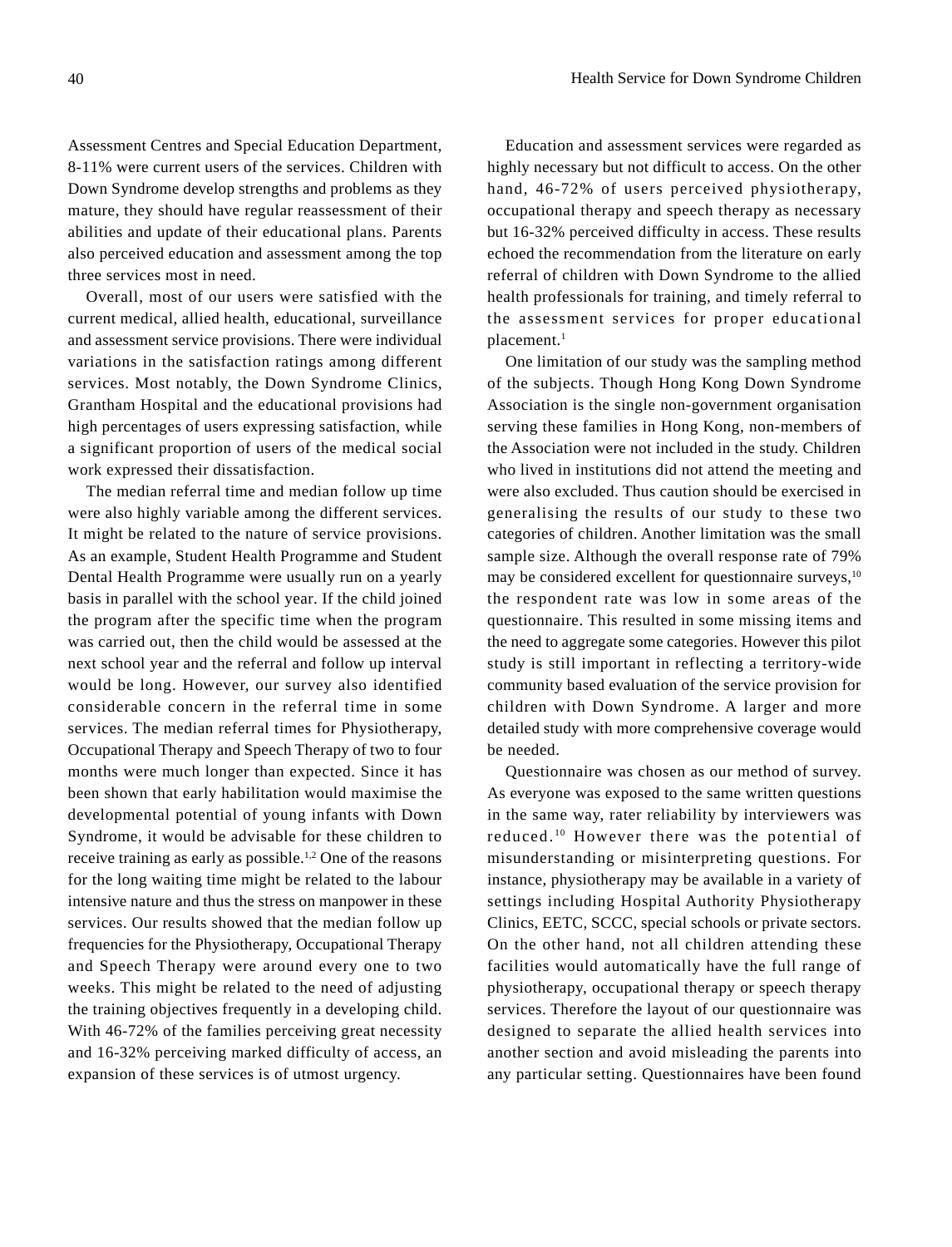Assessment Centres and Special Education Department, 8-11% were current users of the services. Children with Down Syndrome develop strengths and problems as they mature, they should have regular reassessment of their abilities and update of their educational plans. Parents also perceived education and assessment among the top three services most in need.

Overall, most of our users were satisfied with the current medical, allied health, educational, surveillance and assessment service provisions. There were individual variations in the satisfaction ratings among different services. Most notably, the Down Syndrome Clinics, Grantham Hospital and the educational provisions had high percentages of users expressing satisfaction, while a significant proportion of users of the medical social work expressed their dissatisfaction.

The median referral time and median follow up time were also highly variable among the different services. It might be related to the nature of service provisions. As an example, Student Health Programme and Student Dental Health Programme were usually run on a yearly basis in parallel with the school year. If the child joined the program after the specific time when the program was carried out, then the child would be assessed at the next school year and the referral and follow up interval would be long. However, our survey also identified considerable concern in the referral time in some services. The median referral times for Physiotherapy, Occupational Therapy and Speech Therapy of two to four months were much longer than expected. Since it has been shown that early habilitation would maximise the developmental potential of young infants with Down Syndrome, it would be advisable for these children to receive training as early as possible.1,2 One of the reasons for the long waiting time might be related to the labour intensive nature and thus the stress on manpower in these services. Our results showed that the median follow up frequencies for the Physiotherapy, Occupational Therapy and Speech Therapy were around every one to two weeks. This might be related to the need of adjusting the training objectives frequently in a developing child. With 46-72% of the families perceiving great necessity and 16-32% perceiving marked difficulty of access, an expansion of these services is of utmost urgency.

Education and assessment services were regarded as highly necessary but not difficult to access. On the other hand, 46-72% of users perceived physiotherapy, occupational therapy and speech therapy as necessary but 16-32% perceived difficulty in access. These results echoed the recommendation from the literature on early referral of children with Down Syndrome to the allied health professionals for training, and timely referral to the assessment services for proper educational placement.<sup>1</sup>

One limitation of our study was the sampling method of the subjects. Though Hong Kong Down Syndrome Association is the single non-government organisation serving these families in Hong Kong, non-members of the Association were not included in the study. Children who lived in institutions did not attend the meeting and were also excluded. Thus caution should be exercised in generalising the results of our study to these two categories of children. Another limitation was the small sample size. Although the overall response rate of 79% may be considered excellent for questionnaire surveys, $10$ the respondent rate was low in some areas of the questionnaire. This resulted in some missing items and the need to aggregate some categories. However this pilot study is still important in reflecting a territory-wide community based evaluation of the service provision for children with Down Syndrome. A larger and more detailed study with more comprehensive coverage would be needed.

Questionnaire was chosen as our method of survey. As everyone was exposed to the same written questions in the same way, rater reliability by interviewers was reduced. 10 However there was the potential of misunderstanding or misinterpreting questions. For instance, physiotherapy may be available in a variety of settings including Hospital Authority Physiotherapy Clinics, EETC, SCCC, special schools or private sectors. On the other hand, not all children attending these facilities would automatically have the full range of physiotherapy, occupational therapy or speech therapy services. Therefore the layout of our questionnaire was designed to separate the allied health services into another section and avoid misleading the parents into any particular setting. Questionnaires have been found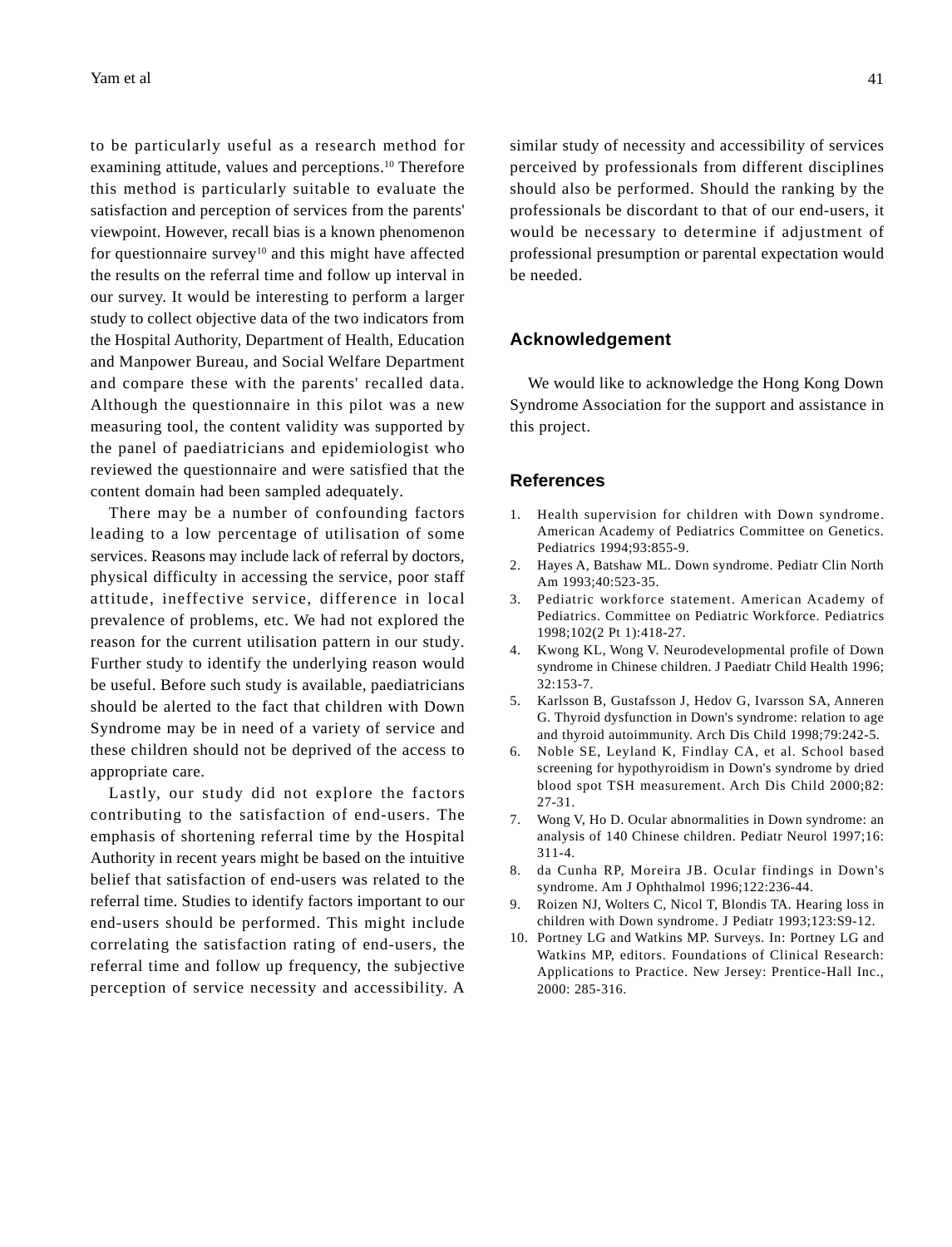to be particularly useful as a research method for examining attitude, values and perceptions.<sup>10</sup> Therefore this method is particularly suitable to evaluate the satisfaction and perception of services from the parents' viewpoint. However, recall bias is a known phenomenon for questionnaire survey<sup>10</sup> and this might have affected the results on the referral time and follow up interval in our survey. It would be interesting to perform a larger study to collect objective data of the two indicators from the Hospital Authority, Department of Health, Education and Manpower Bureau, and Social Welfare Department and compare these with the parents' recalled data. Although the questionnaire in this pilot was a new measuring tool, the content validity was supported by the panel of paediatricians and epidemiologist who reviewed the questionnaire and were satisfied that the content domain had been sampled adequately.

There may be a number of confounding factors leading to a low percentage of utilisation of some services. Reasons may include lack of referral by doctors, physical difficulty in accessing the service, poor staff attitude, ineffective service, difference in local prevalence of problems, etc. We had not explored the reason for the current utilisation pattern in our study. Further study to identify the underlying reason would be useful. Before such study is available, paediatricians should be alerted to the fact that children with Down Syndrome may be in need of a variety of service and these children should not be deprived of the access to appropriate care.

Lastly, our study did not explore the factors contributing to the satisfaction of end-users. The emphasis of shortening referral time by the Hospital Authority in recent years might be based on the intuitive belief that satisfaction of end-users was related to the referral time. Studies to identify factors important to our end-users should be performed. This might include correlating the satisfaction rating of end-users, the referral time and follow up frequency, the subjective perception of service necessity and accessibility. A similar study of necessity and accessibility of services perceived by professionals from different disciplines should also be performed. Should the ranking by the professionals be discordant to that of our end-users, it would be necessary to determine if adjustment of professional presumption or parental expectation would be needed.

#### **Acknowledgement**

We would like to acknowledge the Hong Kong Down Syndrome Association for the support and assistance in this project.

#### **References**

- 1. Health supervision for children with Down syndrome. American Academy of Pediatrics Committee on Genetics. Pediatrics 1994;93:855-9.
- 2. Hayes A, Batshaw ML. Down syndrome. Pediatr Clin North Am 1993;40:523-35.
- 3. Pediatric workforce statement. American Academy of Pediatrics. Committee on Pediatric Workforce. Pediatrics 1998;102(2 Pt 1):418-27.
- 4. Kwong KL, Wong V. Neurodevelopmental profile of Down syndrome in Chinese children. J Paediatr Child Health 1996; 32:153-7.
- 5. Karlsson B, Gustafsson J, Hedov G, Ivarsson SA, Anneren G. Thyroid dysfunction in Down's syndrome: relation to age and thyroid autoimmunity. Arch Dis Child 1998;79:242-5.
- 6. Noble SE, Leyland K, Findlay CA, et al. School based screening for hypothyroidism in Down's syndrome by dried blood spot TSH measurement. Arch Dis Child 2000;82: 27-31.
- 7. Wong V, Ho D. Ocular abnormalities in Down syndrome: an analysis of 140 Chinese children. Pediatr Neurol 1997;16: 311-4.
- 8. da Cunha RP, Moreira JB. Ocular findings in Down's syndrome. Am J Ophthalmol 1996;122:236-44.
- 9. Roizen NJ, Wolters C, Nicol T, Blondis TA. Hearing loss in children with Down syndrome. J Pediatr 1993;123:S9-12.
- 10. Portney LG and Watkins MP. Surveys. In: Portney LG and Watkins MP, editors. Foundations of Clinical Research: Applications to Practice. New Jersey: Prentice-Hall Inc., 2000: 285-316.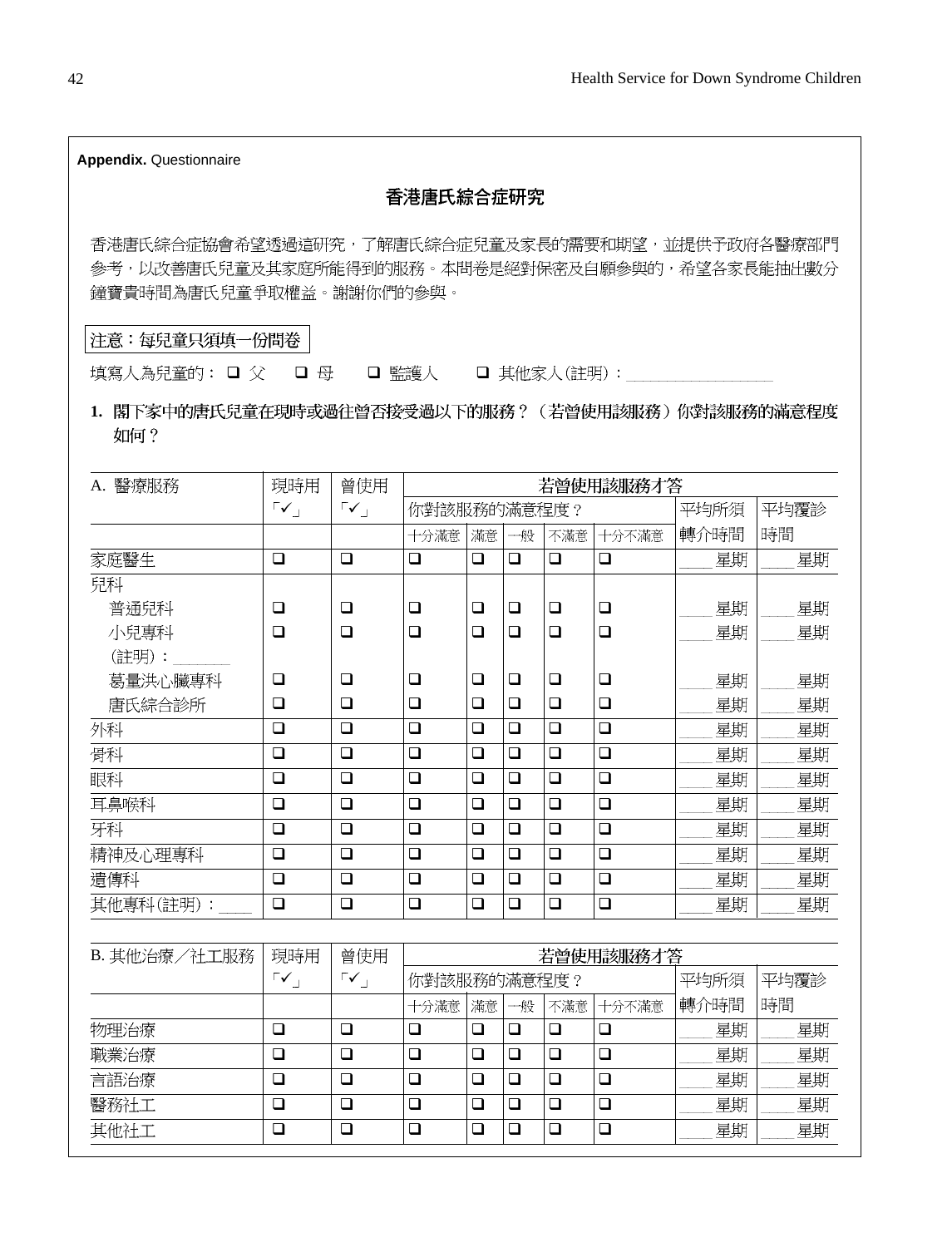| <b>Appendix. Questionnaire</b>                                                                                                |                                    |                                     |                  |             |             |                  |                  |          |          |
|-------------------------------------------------------------------------------------------------------------------------------|------------------------------------|-------------------------------------|------------------|-------------|-------------|------------------|------------------|----------|----------|
|                                                                                                                               |                                    |                                     | 香港唐氏綜合症研究        |             |             |                  |                  |          |          |
| 香港唐氏綜合症協會希望透過這研究,了解唐氏綜合症兒童及家長的需要和期望,並提供予政府各醫療部門<br>参考,以改善唐氏兒童及其家庭所能得到的服務。本問卷是絕對保密及自願參與的,希望各家長能抽出數分<br>鐘寶貴時間為唐氏兒童爭取權益。謝謝你們的參與。 |                                    |                                     |                  |             |             |                  |                  |          |          |
| 注意:每兒童只須填一份問卷                                                                                                                 |                                    |                                     |                  |             |             |                  |                  |          |          |
| 填寫人為兒童的: □ 父                                                                                                                  | □ 母                                |                                     | □ 監護人            |             |             |                  | □ 其他家人(註明):      |          |          |
| 1.閣下家中的唐氏兒童在現時或過往曾否接受過以下的服務?(若曾使用該服務)你對該服務的滿意程度<br>如何?                                                                        |                                    |                                     |                  |             |             |                  |                  |          |          |
| A. 醫療服務                                                                                                                       | 現時用                                | 曾使用                                 |                  |             |             |                  | 若曾使用該服務才答        |          |          |
|                                                                                                                               | $\lceil \checkmark \rceil$         | $\mathsf{r}\checkmark$              | 你對該服務的滿意程度?      |             |             |                  |                  | 平均所須     | 平均覆診     |
|                                                                                                                               |                                    |                                     | 十分滿意             | 滿意          | 一般          | 不滿意              | 十分不滿意            | 轉介時間     | 時間       |
| 家庭醫生                                                                                                                          | $\Box$                             | $\Box$                              | $\Box$           | $\Box$      | $\Box$      | $\Box$           | $\Box$           | 星期       | 星期       |
| 兒科<br>普通兒科<br>小兒專科                                                                                                            | $\Box$<br>$\Box$                   | $\Box$<br>$\Box$                    | $\Box$<br>$\Box$ | $\Box$<br>◻ | $\Box$<br>❏ | $\Box$<br>$\Box$ | $\Box$<br>$\Box$ | 星期<br>星期 | 星期<br>星期 |
| (註明) :<br>葛量洪心臟專科                                                                                                             | $\Box$                             | $\Box$                              | $\Box$           | ❏           | ❏           | $\Box$           | ❏                | 星期       | 星期       |
| 唐氏綜合診所                                                                                                                        | $\Box$                             | $\Box$                              | $\Box$           | $\Box$      | $\Box$      | $\Box$           | $\Box$           | 星期       | 星期       |
| 外科                                                                                                                            | $\Box$                             | ❏                                   | $\Box$           | ❏           | $\Box$      | $\Box$           | ❏                | 星期       | 星期       |
| 骨科                                                                                                                            | $\Box$                             | $\Box$                              | $\Box$           | ❏           | $\Box$      | $\Box$           | $\Box$           | 星期       | 星期       |
| 眼科                                                                                                                            | $\Box$                             | $\Box$                              | $\Box$           | ❏           | $\Box$      | $\Box$           | $\Box$           | 星期       | 星期       |
| 耳鼻喉科                                                                                                                          | $\Box$                             | $\Box$                              | $\Box$           | ❏           | $\Box$      | $\Box$           | $\Box$           | 星期       | 星期       |
| 牙科                                                                                                                            | $\Box$                             | $\Box$                              | $\Box$           | $\Box$      | $\Box$      | $\Box$           | $\Box$           | 星期       | 星期       |
| 精神及心理專科                                                                                                                       | □                                  | □                                   | $\Box$           | <b>□</b>    | $\Box$      | $\Box$           | $\Box$           | 星期       | 星期       |
| 遺傳科                                                                                                                           | $\Box$                             | $\Box$                              | $\Box$           | $\Box$      | $\Box$      | $\Box$           | $\Box$           | 星期       | 星期       |
| 其他專科(註明):                                                                                                                     | $\Box$                             | $\Box$                              | $\Box$           | $\Box$      | $\Box$      | $\Box$           | $\Box$           | 星期       | 星期       |
|                                                                                                                               |                                    |                                     |                  |             |             |                  |                  |          |          |
| B. 其他治療/社工服務                                                                                                                  | 現時用<br>$\mathbb{F}_{\mathbf{v}_1}$ | 曾使用<br>$\mathsf{r}\checkmark_\perp$ | 你對該服務的滿意程度?      |             |             |                  | 若曾使用該服務才答        | 平均所須     | 平均覆診     |
|                                                                                                                               |                                    |                                     | 十分滿意             | 滿意          | 一般          | 不滿意              | 十分不滿意            | 轉介時間     | 時間       |
| 物理治療                                                                                                                          | $\Box$                             | $\Box$                              | □                | $\Box$      | $\Box$      | $\Box$           | $\Box$           | 星期       | 星期       |
| 職業治療                                                                                                                          | $\Box$                             | $\Box$                              | $\Box$           | $\Box$      | $\Box$      | $\Box$           | $\Box$           | 星期       | 星期       |
| 言語治療                                                                                                                          | $\Box$                             | $\Box$                              | $\Box$           | $\Box$      | $\Box$      | $\Box$           | $\Box$           | 星期       | 星期       |
| 醫務社工                                                                                                                          | $\Box$                             | $\Box$                              | $\Box$           | $\Box$      | $\Box$      | $\Box$           | $\Box$           | 星期       | 星期       |
| 其他社工                                                                                                                          | $\Box$                             | $\Box$                              | $\Box$           | $\Box$      | $\Box$      | $\Box$           | $\Box$           | 星期       | 星期       |